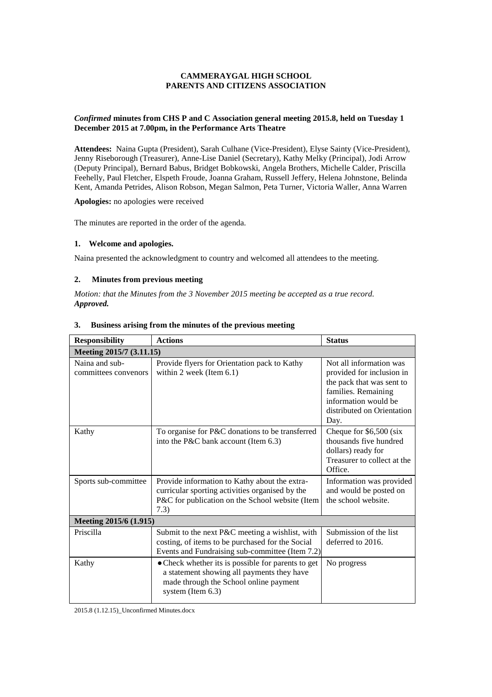### **CAMMERAYGAL HIGH SCHOOL PARENTS AND CITIZENS ASSOCIATION**

## *Confirmed* **minutes from CHS P and C Association general meeting 2015.8, held on Tuesday 1 December 2015 at 7.00pm, in the Performance Arts Theatre**

**Attendees:** Naina Gupta (President), Sarah Culhane (Vice-President), Elyse Sainty (Vice-President), Jenny Riseborough (Treasurer), Anne-Lise Daniel (Secretary), Kathy Melky (Principal), Jodi Arrow (Deputy Principal), Bernard Babus, Bridget Bobkowski, Angela Brothers, Michelle Calder, Priscilla Feehelly, Paul Fletcher, Elspeth Froude, Joanna Graham, Russell Jeffery, Helena Johnstone, Belinda Kent, Amanda Petrides, Alison Robson, Megan Salmon, Peta Turner, Victoria Waller, Anna Warren

**Apologies:** no apologies were received

The minutes are reported in the order of the agenda.

#### **1. Welcome and apologies.**

Naina presented the acknowledgment to country and welcomed all attendees to the meeting.

### **2. Minutes from previous meeting**

*Motion: that the Minutes from the 3 November 2015 meeting be accepted as a true record. Approved.*

| <b>Responsibility</b>                  | <b>Actions</b>                                                                                                                                                  | <b>Status</b>                                                                                                                                                          |
|----------------------------------------|-----------------------------------------------------------------------------------------------------------------------------------------------------------------|------------------------------------------------------------------------------------------------------------------------------------------------------------------------|
| Meeting 2015/7 (3.11.15)               |                                                                                                                                                                 |                                                                                                                                                                        |
| Naina and sub-<br>committees convenors | Provide flyers for Orientation pack to Kathy<br>within 2 week (Item $6.1$ )                                                                                     | Not all information was<br>provided for inclusion in<br>the pack that was sent to<br>families. Remaining<br>information would be<br>distributed on Orientation<br>Day. |
| Kathy                                  | To organise for P&C donations to be transferred<br>into the P&C bank account (Item 6.3)                                                                         | Cheque for $$6,500$ (six<br>thousands five hundred<br>dollars) ready for<br>Treasurer to collect at the<br>Office.                                                     |
| Sports sub-committee                   | Provide information to Kathy about the extra-<br>curricular sporting activities organised by the<br>P&C for publication on the School website (Item<br>7.3)     | Information was provided<br>and would be posted on<br>the school website.                                                                                              |
| Meeting 2015/6 (1.915)                 |                                                                                                                                                                 |                                                                                                                                                                        |
| Priscilla                              | Submit to the next P&C meeting a wishlist, with<br>costing, of items to be purchased for the Social<br>Events and Fundraising sub-committee (Item 7.2)          | Submission of the list<br>deferred to 2016.                                                                                                                            |
| Kathy                                  | • Check whether its is possible for parents to get<br>a statement showing all payments they have<br>made through the School online payment<br>system (Item 6.3) | No progress                                                                                                                                                            |

#### **3. Business arising from the minutes of the previous meeting**

2015.8 (1.12.15)\_Unconfirmed Minutes.docx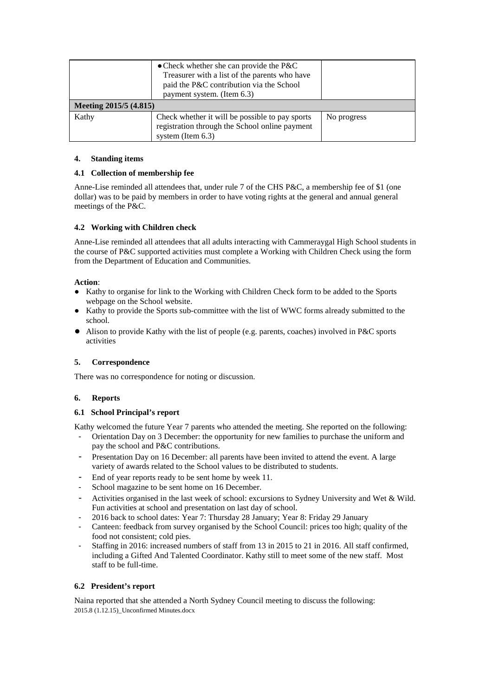| Meeting 2015/5 (4.815) | • Check whether she can provide the $P\&C$<br>Treasurer with a list of the parents who have<br>paid the P&C contribution via the School<br>payment system. (Item 6.3) |             |
|------------------------|-----------------------------------------------------------------------------------------------------------------------------------------------------------------------|-------------|
| Kathy                  | Check whether it will be possible to pay sports<br>registration through the School online payment<br>system (Item $6.3$ )                                             | No progress |

## **4. Standing items**

## **4.1 Collection of membership fee**

Anne-Lise reminded all attendees that, under rule 7 of the CHS P&C, a membership fee of \$1 (one dollar) was to be paid by members in order to have voting rights at the general and annual general meetings of the P&C.

# **4.2 Working with Children check**

Anne-Lise reminded all attendees that all adults interacting with Cammeraygal High School students in the course of P&C supported activities must complete a Working with Children Check using the form from the Department of Education and Communities.

## **Action**:

- Kathy to organise for link to the Working with Children Check form to be added to the Sports webpage on the School website.
- Kathy to provide the Sports sub-committee with the list of WWC forms already submitted to the school.
- Alison to provide Kathy with the list of people (e.g. parents, coaches) involved in P&C sports activities

### **5. Correspondence**

There was no correspondence for noting or discussion.

# **6. Reports**

### **6.1 School Principal's report**

Kathy welcomed the future Year 7 parents who attended the meeting. She reported on the following:

- Orientation Day on 3 December: the opportunity for new families to purchase the uniform and pay the school and P&C contributions.
- Presentation Day on 16 December: all parents have been invited to attend the event. A large variety of awards related to the School values to be distributed to students.
- End of year reports ready to be sent home by week 11.
- School magazine to be sent home on 16 December.
- Activities organised in the last week of school: excursions to Sydney University and Wet & Wild. Fun activities at school and presentation on last day of school.
- 2016 back to school dates: Year 7: Thursday 28 January; Year 8: Friday 29 January
- Canteen: feedback from survey organised by the School Council: prices too high; quality of the food not consistent; cold pies.
- Staffing in 2016: increased numbers of staff from 13 in 2015 to 21 in 2016. All staff confirmed, including a Gifted And Talented Coordinator. Kathy still to meet some of the new staff. Most staff to be full-time.

# **6.2 President's report**

Naina reported that she attended a North Sydney Council meeting to discuss the following: 2015.8 (1.12.15)\_Unconfirmed Minutes.docx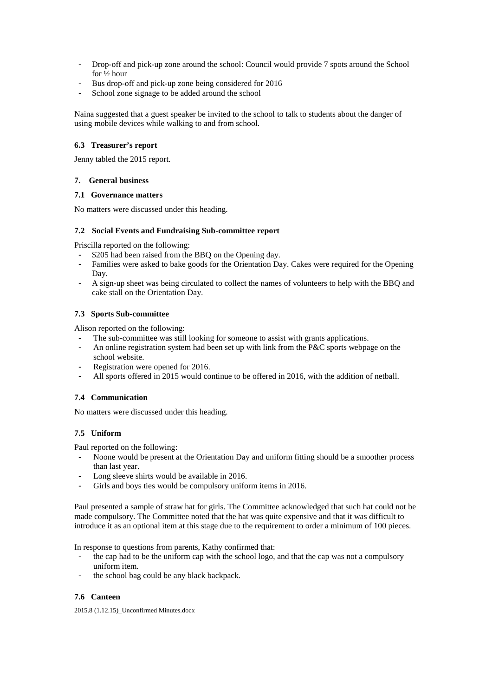- Drop-off and pick-up zone around the school: Council would provide 7 spots around the School for ½ hour
- Bus drop-off and pick-up zone being considered for 2016
- School zone signage to be added around the school

Naina suggested that a guest speaker be invited to the school to talk to students about the danger of using mobile devices while walking to and from school.

## **6.3 Treasurer's report**

Jenny tabled the 2015 report.

## **7. General business**

### **7.1 Governance matters**

No matters were discussed under this heading.

### **7.2 Social Events and Fundraising Sub-committee report**

Priscilla reported on the following:

- \$205 had been raised from the BBQ on the Opening day.
- Families were asked to bake goods for the Orientation Day. Cakes were required for the Opening Day.
- A sign-up sheet was being circulated to collect the names of volunteers to help with the BBQ and cake stall on the Orientation Day.

# **7.3 Sports Sub-committee**

Alison reported on the following:

- The sub-committee was still looking for someone to assist with grants applications.
- An online registration system had been set up with link from the P&C sports webpage on the school website.
- Registration were opened for 2016.
- All sports offered in 2015 would continue to be offered in 2016, with the addition of netball.

# **7.4 Communication**

No matters were discussed under this heading.

# **7.5 Uniform**

Paul reported on the following:

- Noone would be present at the Orientation Day and uniform fitting should be a smoother process than last year.
- Long sleeve shirts would be available in 2016.
- Girls and boys ties would be compulsory uniform items in 2016.

Paul presented a sample of straw hat for girls. The Committee acknowledged that such hat could not be made compulsory. The Committee noted that the hat was quite expensive and that it was difficult to introduce it as an optional item at this stage due to the requirement to order a minimum of 100 pieces.

In response to questions from parents, Kathy confirmed that:

- the cap had to be the uniform cap with the school logo, and that the cap was not a compulsory uniform item.
- the school bag could be any black backpack.

# **7.6 Canteen**

2015.8 (1.12.15)\_Unconfirmed Minutes.docx